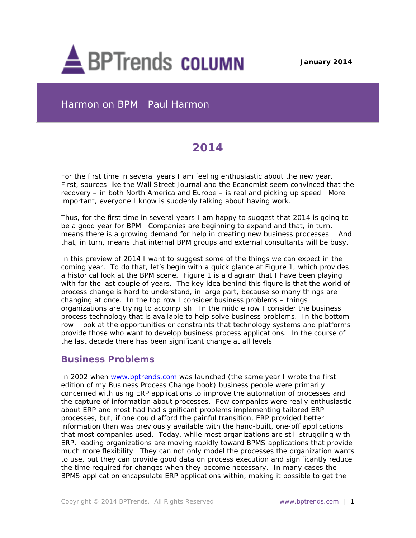

**December 3, 2013 January 2014**

Harmon on BPM Paul Harmon

# **2014**

For the first time in several years I am feeling enthusiastic about the new year. First, sources like the *Wall Street Journal* and the *Economist* seem convinced that the recovery – in both North America and Europe – is real and picking up speed. More important, everyone I know is suddenly talking about having work.

Thus, for the first time in several years I am happy to suggest that 2014 is going to be a good year for BPM. Companies are beginning to expand and that, in turn, means there is a growing demand for help in creating new business processes. And that, in turn, means that internal BPM groups and external consultants will be busy.

In this preview of 2014 I want to suggest some of the things we can expect in the coming year. To do that, let's begin with a quick glance at Figure 1, which provides a historical look at the BPM scene. Figure 1 is a diagram that I have been playing with for the last couple of years. The key idea behind this figure is that the world of process change is hard to understand, in large part, because so many things are changing at once. In the top row I consider business problems – things organizations are trying to accomplish. In the middle row I consider the business process technology that is available to help solve business problems. In the bottom row I look at the opportunities or constraints that technology systems and platforms provide those who want to develop business process applications. In the course of the last decade there has been significant change at all levels.

### **Business Problems**

In 2002 when [www.bptrends.com](http://www.bptrends.com/) was launched (the same year I wrote the first edition of my *Business Process Change* book) business people were primarily concerned with using ERP applications to improve the automation of processes and the capture of information about processes. Few companies were really enthusiastic about ERP and most had had significant problems implementing tailored ERP processes, but, if one could afford the painful transition, ERP provided better information than was previously available with the hand-built, one-off applications that most companies used. Today, while most organizations are still struggling with ERP, leading organizations are moving rapidly toward BPMS applications that provide much more flexibility. They can not only model the processes the organization wants to use, but they can provide good data on process execution and significantly reduce the time required for changes when they become necessary. In many cases the BPMS application encapsulate ERP applications within, making it possible to get the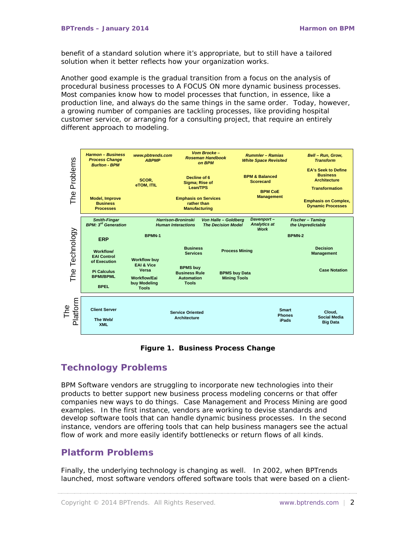benefit of a standard solution where it's appropriate, but to still have a tailored solution when it better reflects how your organization works.

Another good example is the gradual transition from a focus on the analysis of procedural business processes to A FOCUS ON more dynamic business processes. Most companies know how to model processes that function, in essence, like a production line, and always do the same things in the same order. Today, however, a growing number of companies are tackling processes, like providing hospital customer service, or arranging for a consulting project, that require an entirely different approach to modeling.



**Figure 1. Business Process Change** 

### **Technology Problems**

BPM Software vendors are struggling to incorporate new technologies into their products to better support new business process modeling concerns or that offer companies new ways to do things. Case Management and Process Mining are good examples. In the first instance, vendors are working to devise standards and develop software tools that can handle dynamic business processes. In the second instance, vendors are offering tools that can help business managers see the actual flow of work and more easily identify bottlenecks or return flows of all kinds.

### **Platform Problems**

Finally, the underlying technology is changing as well. In 2002, when BPTrends launched, most software vendors offered software tools that were based on a client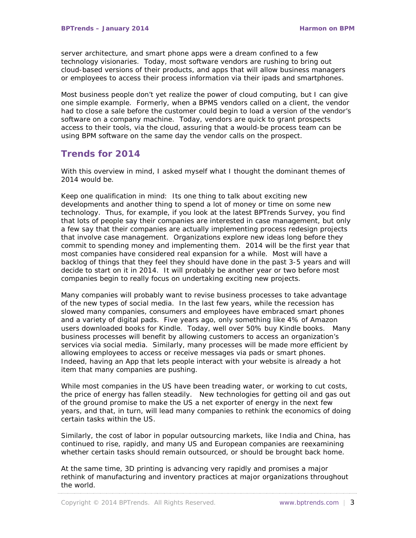server architecture, and smart phone apps were a dream confined to a few technology visionaries. Today, most software vendors are rushing to bring out cloud-based versions of their products, and apps that will allow business managers or employees to access their process information via their ipads and smartphones.

Most business people don't yet realize the power of cloud computing, but I can give one simple example. Formerly, when a BPMS vendors called on a client, the vendor had to close a sale before the customer could begin to load a version of the vendor's software on a company machine. Today, vendors are quick to grant prospects access to their tools, via the cloud, assuring that a would-be process team can be using BPM software on the same day the vendor calls on the prospect.

## **Trends for 2014**

With this overview in mind, I asked myself what I thought the dominant themes of 2014 would be.

Keep one qualification in mind: Its one thing to talk about exciting new developments and another thing to spend a lot of money or time on some new technology. Thus, for example, if you look at the latest BPTrends Survey, you find that lots of people say their companies are interested in case management, but only a few say that their companies are actually implementing process redesign projects that involve case management. Organizations explore new ideas long before they commit to spending money and implementing them. 2014 will be the first year that most companies have considered real expansion for a while. Most will have a backlog of things that they feel they should have done in the past 3-5 years and will decide to start on it in 2014. It will probably be another year or two before most companies begin to really focus on undertaking exciting new projects.

Many companies will probably want to revise business processes to take advantage of the new types of social media. In the last few years, while the recession has slowed many companies, consumers and employees have embraced smart phones and a variety of digital pads. Five years ago, only something like 4% of Amazon users downloaded books for Kindle. Today, well over 50% buy Kindle books. Many business processes will benefit by allowing customers to access an organization's services via social media. Similarly, many processes will be made more efficient by allowing employees to access or receive messages via pads or smart phones. Indeed, having an App that lets people interact with your website is already a hot item that many companies are pushing.

While most companies in the US have been treading water, or working to cut costs, the price of energy has fallen steadily. New technologies for getting oil and gas out of the ground promise to make the US a net exporter of energy in the next few years, and that, in turn, will lead many companies to rethink the economics of doing certain tasks within the US.

Similarly, the cost of labor in popular outsourcing markets, like India and China, has continued to rise, rapidly, and many US and European companies are reexamining whether certain tasks should remain outsourced, or should be brought back home.

At the same time, 3D printing is advancing very rapidly and promises a major rethink of manufacturing and inventory practices at major organizations throughout the world.